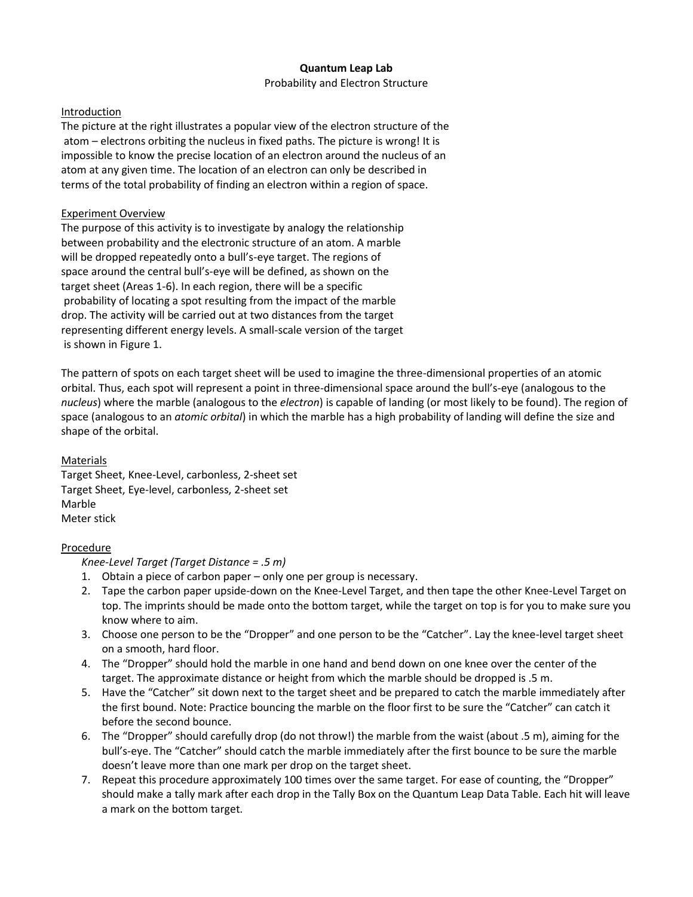## **Quantum Leap Lab** Probability and Electron Structure

# Introduction

The picture at the right illustrates a popular view of the electron structure of the atom – electrons orbiting the nucleus in fixed paths. The picture is wrong! It is impossible to know the precise location of an electron around the nucleus of an atom at any given time. The location of an electron can only be described in terms of the total probability of finding an electron within a region of space.

## Experiment Overview

The purpose of this activity is to investigate by analogy the relationship between probability and the electronic structure of an atom. A marble will be dropped repeatedly onto a bull's-eye target. The regions of space around the central bull's-eye will be defined, as shown on the target sheet (Areas 1-6). In each region, there will be a specific probability of locating a spot resulting from the impact of the marble drop. The activity will be carried out at two distances from the target representing different energy levels. A small-scale version of the target is shown in Figure 1.

The pattern of spots on each target sheet will be used to imagine the three-dimensional properties of an atomic orbital. Thus, each spot will represent a point in three-dimensional space around the bull's-eye (analogous to the *nucleus*) where the marble (analogous to the *electron*) is capable of landing (or most likely to be found). The region of space (analogous to an *atomic orbital*) in which the marble has a high probability of landing will define the size and shape of the orbital.

# Materials

Target Sheet, Knee-Level, carbonless, 2-sheet set Target Sheet, Eye-level, carbonless, 2-sheet set Marble Meter stick

# Procedure

*Knee-Level Target (Target Distance = .5 m)*

- 1. Obtain a piece of carbon paper only one per group is necessary.
- 2. Tape the carbon paper upside-down on the Knee-Level Target, and then tape the other Knee-Level Target on top. The imprints should be made onto the bottom target, while the target on top is for you to make sure you know where to aim.
- 3. Choose one person to be the "Dropper" and one person to be the "Catcher". Lay the knee-level target sheet on a smooth, hard floor.
- 4. The "Dropper" should hold the marble in one hand and bend down on one knee over the center of the target. The approximate distance or height from which the marble should be dropped is .5 m.
- 5. Have the "Catcher" sit down next to the target sheet and be prepared to catch the marble immediately after the first bound. Note: Practice bouncing the marble on the floor first to be sure the "Catcher" can catch it before the second bounce.
- 6. The "Dropper" should carefully drop (do not throw!) the marble from the waist (about .5 m), aiming for the bull's-eye. The "Catcher" should catch the marble immediately after the first bounce to be sure the marble doesn't leave more than one mark per drop on the target sheet.
- 7. Repeat this procedure approximately 100 times over the same target. For ease of counting, the "Dropper" should make a tally mark after each drop in the Tally Box on the Quantum Leap Data Table. Each hit will leave a mark on the bottom target.